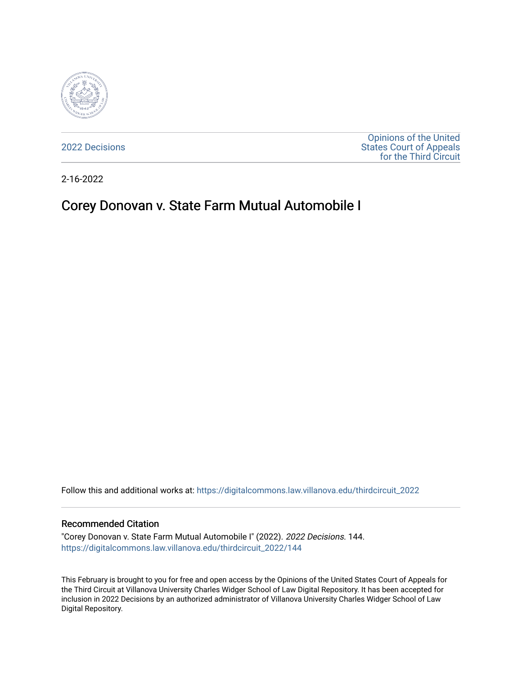

[2022 Decisions](https://digitalcommons.law.villanova.edu/thirdcircuit_2022)

[Opinions of the United](https://digitalcommons.law.villanova.edu/thirdcircuit)  [States Court of Appeals](https://digitalcommons.law.villanova.edu/thirdcircuit)  [for the Third Circuit](https://digitalcommons.law.villanova.edu/thirdcircuit) 

2-16-2022

# Corey Donovan v. State Farm Mutual Automobile I

Follow this and additional works at: [https://digitalcommons.law.villanova.edu/thirdcircuit\\_2022](https://digitalcommons.law.villanova.edu/thirdcircuit_2022?utm_source=digitalcommons.law.villanova.edu%2Fthirdcircuit_2022%2F144&utm_medium=PDF&utm_campaign=PDFCoverPages) 

#### Recommended Citation

"Corey Donovan v. State Farm Mutual Automobile I" (2022). 2022 Decisions. 144. [https://digitalcommons.law.villanova.edu/thirdcircuit\\_2022/144](https://digitalcommons.law.villanova.edu/thirdcircuit_2022/144?utm_source=digitalcommons.law.villanova.edu%2Fthirdcircuit_2022%2F144&utm_medium=PDF&utm_campaign=PDFCoverPages)

This February is brought to you for free and open access by the Opinions of the United States Court of Appeals for the Third Circuit at Villanova University Charles Widger School of Law Digital Repository. It has been accepted for inclusion in 2022 Decisions by an authorized administrator of Villanova University Charles Widger School of Law Digital Repository.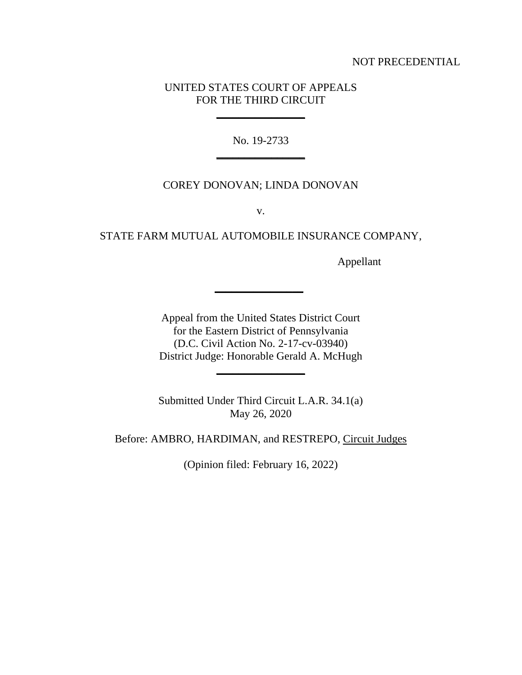#### NOT PRECEDENTIAL

### UNITED STATES COURT OF APPEALS FOR THE THIRD CIRCUIT

**\_\_\_\_\_\_\_\_\_\_\_\_\_\_\_\_**

No. 19-2733 **\_\_\_\_\_\_\_\_\_\_\_\_\_\_\_\_**

### COREY DONOVAN; LINDA DONOVAN

v.

# STATE FARM MUTUAL AUTOMOBILE INSURANCE COMPANY,

Appellant

Appeal from the United States District Court for the Eastern District of Pennsylvania (D.C. Civil Action No. 2-17-cv-03940) District Judge: Honorable Gerald A. McHugh **\_\_\_\_\_\_\_\_\_\_\_\_\_\_\_\_**

**\_\_\_\_\_\_\_\_\_\_\_\_\_\_\_\_**

Submitted Under Third Circuit L.A.R. 34.1(a) May 26, 2020

Before: AMBRO, HARDIMAN, and RESTREPO, Circuit Judges

(Opinion filed: February 16, 2022)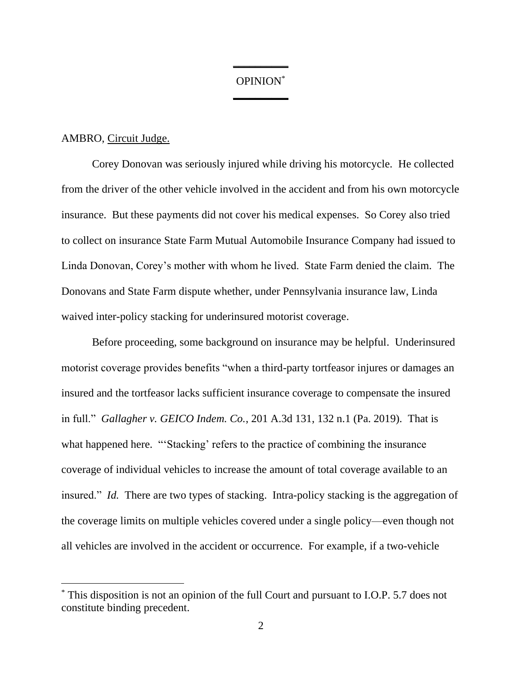# OPINION\* **\_\_\_\_\_\_\_\_\_\_**

**\_\_\_\_\_\_\_\_\_\_**

#### AMBRO, Circuit Judge.

Corey Donovan was seriously injured while driving his motorcycle. He collected from the driver of the other vehicle involved in the accident and from his own motorcycle insurance. But these payments did not cover his medical expenses. So Corey also tried to collect on insurance State Farm Mutual Automobile Insurance Company had issued to Linda Donovan, Corey's mother with whom he lived. State Farm denied the claim. The Donovans and State Farm dispute whether, under Pennsylvania insurance law, Linda waived inter-policy stacking for underinsured motorist coverage.

Before proceeding, some background on insurance may be helpful. Underinsured motorist coverage provides benefits "when a third-party tortfeasor injures or damages an insured and the tortfeasor lacks sufficient insurance coverage to compensate the insured in full." *Gallagher v. GEICO Indem. Co.*, 201 A.3d 131, 132 n.1 (Pa. 2019). That is what happened here. "'Stacking' refers to the practice of combining the insurance coverage of individual vehicles to increase the amount of total coverage available to an insured." *Id.* There are two types of stacking. Intra-policy stacking is the aggregation of the coverage limits on multiple vehicles covered under a single policy—even though not all vehicles are involved in the accident or occurrence. For example, if a two-vehicle

<sup>\*</sup> This disposition is not an opinion of the full Court and pursuant to I.O.P. 5.7 does not constitute binding precedent.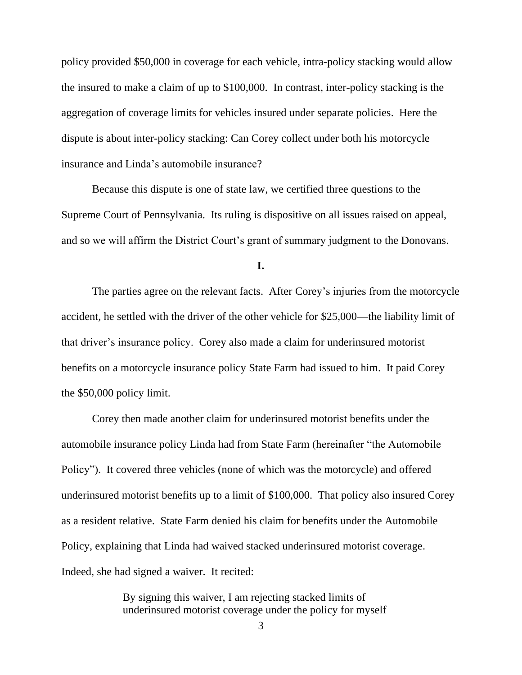policy provided \$50,000 in coverage for each vehicle, intra-policy stacking would allow the insured to make a claim of up to \$100,000. In contrast, inter-policy stacking is the aggregation of coverage limits for vehicles insured under separate policies. Here the dispute is about inter-policy stacking: Can Corey collect under both his motorcycle insurance and Linda's automobile insurance?

Because this dispute is one of state law, we certified three questions to the Supreme Court of Pennsylvania. Its ruling is dispositive on all issues raised on appeal, and so we will affirm the District Court's grant of summary judgment to the Donovans.

**I.**

The parties agree on the relevant facts. After Corey's injuries from the motorcycle accident, he settled with the driver of the other vehicle for \$25,000—the liability limit of that driver's insurance policy. Corey also made a claim for underinsured motorist benefits on a motorcycle insurance policy State Farm had issued to him. It paid Corey the \$50,000 policy limit.

Corey then made another claim for underinsured motorist benefits under the automobile insurance policy Linda had from State Farm (hereinafter "the Automobile Policy"). It covered three vehicles (none of which was the motorcycle) and offered underinsured motorist benefits up to a limit of \$100,000. That policy also insured Corey as a resident relative.State Farm denied his claim for benefits under the Automobile Policy, explaining that Linda had waived stacked underinsured motorist coverage. Indeed, she had signed a waiver. It recited:

> By signing this waiver, I am rejecting stacked limits of underinsured motorist coverage under the policy for myself

> > 3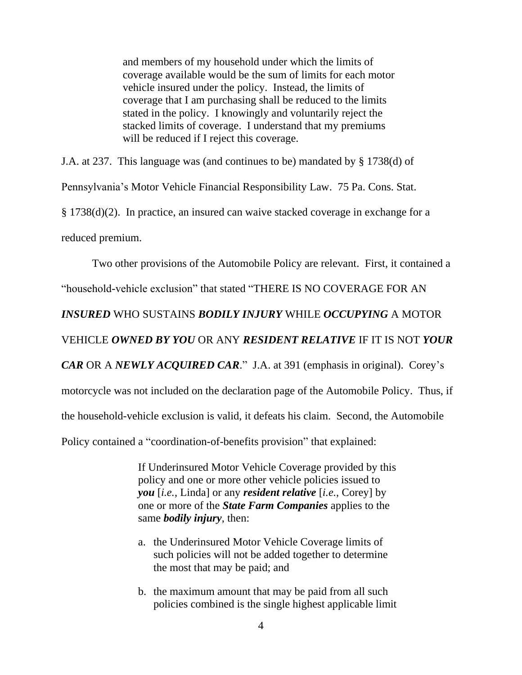and members of my household under which the limits of coverage available would be the sum of limits for each motor vehicle insured under the policy. Instead, the limits of coverage that I am purchasing shall be reduced to the limits stated in the policy. I knowingly and voluntarily reject the stacked limits of coverage. I understand that my premiums will be reduced if I reject this coverage.

J.A. at 237.This language was (and continues to be) mandated by § 1738(d) of Pennsylvania's Motor Vehicle Financial Responsibility Law. 75 Pa. Cons. Stat. § 1738(d)(2). In practice, an insured can waive stacked coverage in exchange for a reduced premium.

Two other provisions of the Automobile Policy are relevant. First, it contained a "household-vehicle exclusion" that stated "THERE IS NO COVERAGE FOR AN *INSURED* WHO SUSTAINS *BODILY INJURY* WHILE *OCCUPYING* A MOTOR VEHICLE *OWNED BY YOU* OR ANY *RESIDENT RELATIVE* IF IT IS NOT *YOUR CAR* OR A *NEWLY ACQUIRED CAR*." J.A. at 391 (emphasis in original). Corey's motorcycle was not included on the declaration page of the Automobile Policy. Thus, if the household-vehicle exclusion is valid, it defeats his claim. Second, the Automobile Policy contained a "coordination-of-benefits provision" that explained:

> If Underinsured Motor Vehicle Coverage provided by this policy and one or more other vehicle policies issued to *you* [*i.e.*, Linda] or any *resident relative* [*i.e.*, Corey] by one or more of the *State Farm Companies* applies to the same *bodily injury*, then:

- a. the Underinsured Motor Vehicle Coverage limits of such policies will not be added together to determine the most that may be paid; and
- b. the maximum amount that may be paid from all such policies combined is the single highest applicable limit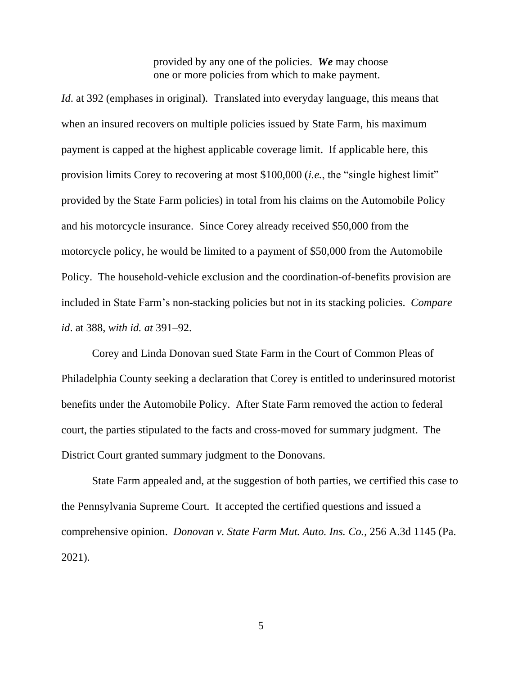provided by any one of the policies. *We* may choose one or more policies from which to make payment.

*Id.* at 392 (emphases in original). Translated into everyday language, this means that when an insured recovers on multiple policies issued by State Farm, his maximum payment is capped at the highest applicable coverage limit. If applicable here, this provision limits Corey to recovering at most \$100,000 (*i.e.*, the "single highest limit" provided by the State Farm policies) in total from his claims on the Automobile Policy and his motorcycle insurance. Since Corey already received \$50,000 from the motorcycle policy, he would be limited to a payment of \$50,000 from the Automobile Policy. The household-vehicle exclusion and the coordination-of-benefits provision are included in State Farm's non-stacking policies but not in its stacking policies. *Compare id*. at 388, *with id. at* 391–92.

Corey and Linda Donovan sued State Farm in the Court of Common Pleas of Philadelphia County seeking a declaration that Corey is entitled to underinsured motorist benefits under the Automobile Policy. After State Farm removed the action to federal court, the parties stipulated to the facts and cross-moved for summary judgment. The District Court granted summary judgment to the Donovans.

State Farm appealed and, at the suggestion of both parties, we certified this case to the Pennsylvania Supreme Court. It accepted the certified questions and issued a comprehensive opinion. *Donovan v. State Farm Mut. Auto. Ins. Co.*, 256 A.3d 1145 (Pa. 2021).

5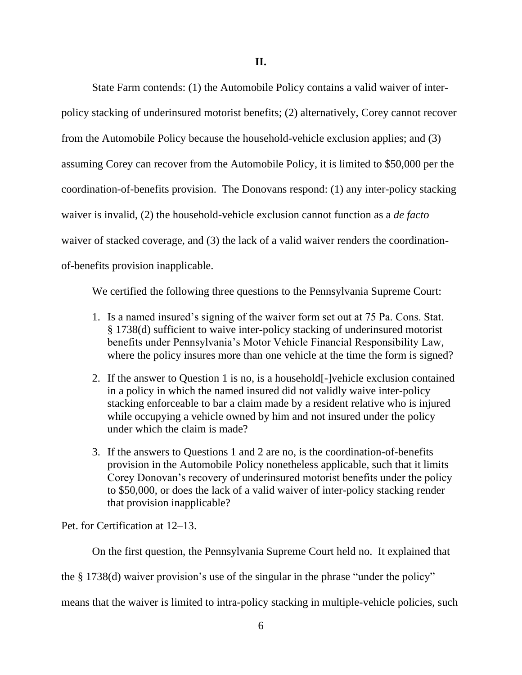State Farm contends: (1) the Automobile Policy contains a valid waiver of interpolicy stacking of underinsured motorist benefits; (2) alternatively, Corey cannot recover from the Automobile Policy because the household-vehicle exclusion applies; and (3) assuming Corey can recover from the Automobile Policy, it is limited to \$50,000 per the coordination-of-benefits provision. The Donovans respond: (1) any inter-policy stacking waiver is invalid, (2) the household-vehicle exclusion cannot function as a *de facto* waiver of stacked coverage, and (3) the lack of a valid waiver renders the coordinationof-benefits provision inapplicable.

We certified the following three questions to the Pennsylvania Supreme Court:

- 1. Is a named insured's signing of the waiver form set out at 75 Pa. Cons. Stat. § 1738(d) sufficient to waive inter-policy stacking of underinsured motorist benefits under Pennsylvania's Motor Vehicle Financial Responsibility Law, where the policy insures more than one vehicle at the time the form is signed?
- 2. If the answer to Question 1 is no, is a household[-]vehicle exclusion contained in a policy in which the named insured did not validly waive inter-policy stacking enforceable to bar a claim made by a resident relative who is injured while occupying a vehicle owned by him and not insured under the policy under which the claim is made?
- 3. If the answers to Questions 1 and 2 are no, is the coordination-of-benefits provision in the Automobile Policy nonetheless applicable, such that it limits Corey Donovan's recovery of underinsured motorist benefits under the policy to \$50,000, or does the lack of a valid waiver of inter-policy stacking render that provision inapplicable?

Pet. for Certification at 12–13.

On the first question, the Pennsylvania Supreme Court held no. It explained that

the § 1738(d) waiver provision's use of the singular in the phrase "under the policy"

means that the waiver is limited to intra-policy stacking in multiple-vehicle policies, such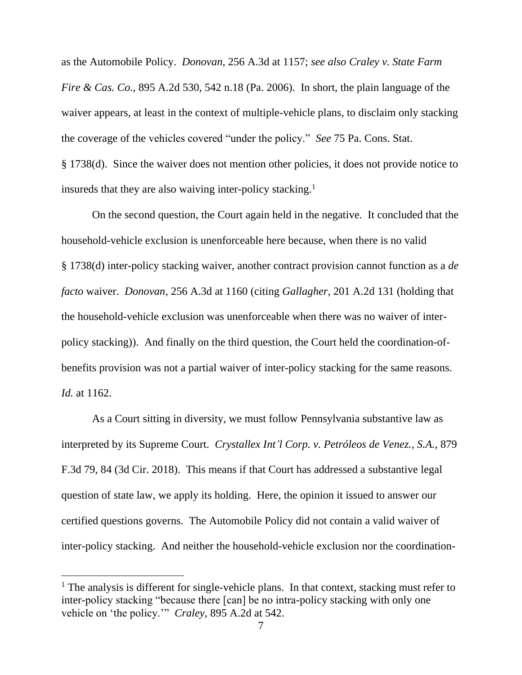as the Automobile Policy. *Donovan*, 256 A.3d at 1157; *see also Craley v. State Farm Fire & Cas. Co.*, 895 A.2d 530, 542 n.18 (Pa. 2006). In short, the plain language of the waiver appears, at least in the context of multiple-vehicle plans, to disclaim only stacking the coverage of the vehicles covered "under the policy." *See* 75 Pa. Cons. Stat. § 1738(d). Since the waiver does not mention other policies, it does not provide notice to insureds that they are also waiving inter-policy stacking.<sup>1</sup>

On the second question, the Court again held in the negative. It concluded that the household-vehicle exclusion is unenforceable here because, when there is no valid § 1738(d) inter-policy stacking waiver, another contract provision cannot function as a *de facto* waiver. *Donovan*, 256 A.3d at 1160 (citing *Gallagher,* 201 A.2d 131 (holding that the household-vehicle exclusion was unenforceable when there was no waiver of interpolicy stacking)). And finally on the third question, the Court held the coordination-ofbenefits provision was not a partial waiver of inter-policy stacking for the same reasons. *Id.* at 1162.

As a Court sitting in diversity, we must follow Pennsylvania substantive law as interpreted by its Supreme Court. *Crystallex Int'l Corp. v. Petróleos de Venez., S.A.*, 879 F.3d 79, 84 (3d Cir. 2018). This means if that Court has addressed a substantive legal question of state law, we apply its holding. Here, the opinion it issued to answer our certified questions governs. The Automobile Policy did not contain a valid waiver of inter-policy stacking. And neither the household-vehicle exclusion nor the coordination-

 $<sup>1</sup>$  The analysis is different for single-vehicle plans. In that context, stacking must refer to</sup> inter-policy stacking "because there [can] be no intra-policy stacking with only one vehicle on 'the policy.'" *Craley*, 895 A.2d at 542.